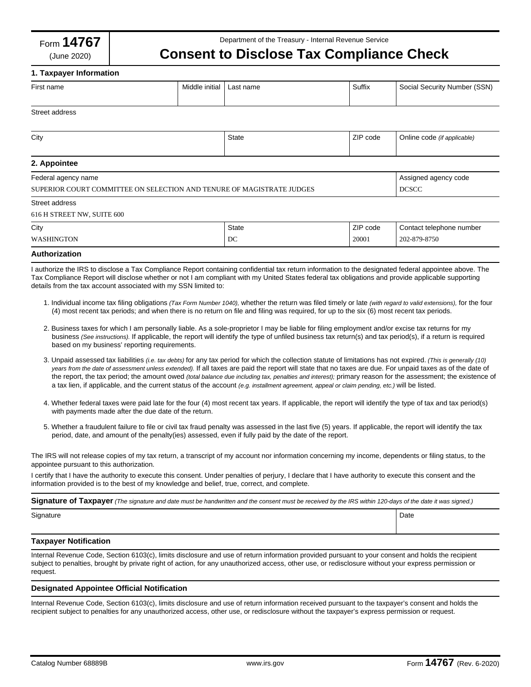# **Consent to Disclose Tax Compliance Check**

## **1. Taxpayer Information**

| First name                                                                                                                                                                                                                                                                                                 | Middle initial | Last name    | Suffix   | Social Security Number (SSN) |
|------------------------------------------------------------------------------------------------------------------------------------------------------------------------------------------------------------------------------------------------------------------------------------------------------------|----------------|--------------|----------|------------------------------|
|                                                                                                                                                                                                                                                                                                            |                |              |          |                              |
| Street address                                                                                                                                                                                                                                                                                             |                |              |          |                              |
| City                                                                                                                                                                                                                                                                                                       |                | <b>State</b> | ZIP code | Online code (if applicable)  |
|                                                                                                                                                                                                                                                                                                            |                |              |          |                              |
| 2. Appointee                                                                                                                                                                                                                                                                                               |                |              |          |                              |
| Federal agency name                                                                                                                                                                                                                                                                                        |                |              |          | Assigned agency code         |
| SUPERIOR COURT COMMITTEE ON SELECTION AND TENURE OF MAGISTRATE JUDGES                                                                                                                                                                                                                                      |                |              |          | <b>DCSCC</b>                 |
| Street address                                                                                                                                                                                                                                                                                             |                |              |          |                              |
| 616 H STREET NW, SUITE 600                                                                                                                                                                                                                                                                                 |                |              |          |                              |
| City                                                                                                                                                                                                                                                                                                       |                | <b>State</b> | ZIP code | Contact telephone number     |
| <b>WASHINGTON</b>                                                                                                                                                                                                                                                                                          |                | DC           | 20001    | 202-879-8750                 |
| Authorization                                                                                                                                                                                                                                                                                              |                |              |          |                              |
| I authorize the IRS to disclose a Tax Compliance Report containing confidential tax return information to the designated federal appointee above. The<br>Tax Compliance Report will disclose whether or not I am compliant with my United States federal tax obligations and provide applicable supporting |                |              |          |                              |

details from the tax account associated with my SSN limited to:

- 1. Individual income tax filing obligations *(Tax Form Number 1040),* whether the return was filed timely or late *(with regard to valid extensions),* for the four (4) most recent tax periods; and when there is no return on file and filing was required, for up to the six (6) most recent tax periods.
- 2. Business taxes for which I am personally liable. As a sole-proprietor I may be liable for filing employment and/or excise tax returns for my business *(See instructions).* If applicable, the report will identify the type of unfiled business tax return(s) and tax period(s), if a return is required based on my business' reporting requirements.
- 3. Unpaid assessed tax liabilities *(i.e. tax debts)* for any tax period for which the collection statute of limitations has not expired. *(This is generally (10) years from the date of assessment unless extended).* If all taxes are paid the report will state that no taxes are due. For unpaid taxes as of the date of the report, the tax period; the amount owed *(total balance due including tax, penalties and interest);* primary reason for the assessment; the existence of a tax lien, if applicable, and the current status of the account *(e.g. installment agreement, appeal or claim pending, etc.)* will be listed.
- 4. Whether federal taxes were paid late for the four (4) most recent tax years. If applicable, the report will identify the type of tax and tax period(s) with payments made after the due date of the return.
- 5. Whether a fraudulent failure to file or civil tax fraud penalty was assessed in the last five (5) years. If applicable, the report will identify the tax period, date, and amount of the penalty(ies) assessed, even if fully paid by the date of the report.

The IRS will not release copies of my tax return, a transcript of my account nor information concerning my income, dependents or filing status, to the appointee pursuant to this authorization.

I certify that I have the authority to execute this consent. Under penalties of perjury, I declare that I have authority to execute this consent and the information provided is to the best of my knowledge and belief, true, correct, and complete.

**Signature of Taxpayer** *(The signature and date must be handwritten and the consent must be received by the IRS within 120-days of the date it was signed.)*

Signature **Date** 

## **Taxpayer Notification**

Internal Revenue Code, Section 6103(c), limits disclosure and use of return information provided pursuant to your consent and holds the recipient subject to penalties, brought by private right of action, for any unauthorized access, other use, or redisclosure without your express permission or request.

## **Designated Appointee Official Notification**

Internal Revenue Code, Section 6103(c), limits disclosure and use of return information received pursuant to the taxpayer's consent and holds the recipient subject to penalties for any unauthorized access, other use, or redisclosure without the taxpayer's express permission or request.